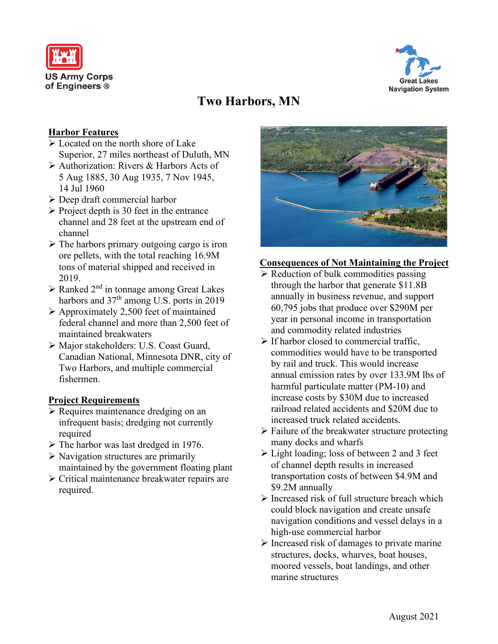



# **Two Harbors, MN**

# **Harbor Features**

- $\triangleright$  Located on the north shore of Lake Superior, 27 miles northeast of Duluth, MN
- Authorization: Rivers & Harbors Acts of 5 Aug 1885, 30 Aug 1935, 7 Nov 1945, 14 Jul 1960
- Deep draft commercial harbor
- $\triangleright$  Project depth is 30 feet in the entrance channel and 28 feet at the upstream end of channel
- $\triangleright$  The harbors primary outgoing cargo is iron ore pellets, with the total reaching 16.9M tons of material shipped and received in 2019.
- $\triangleright$  Ranked 2<sup>nd</sup> in tonnage among Great Lakes harbors and 37<sup>th</sup> among U.S. ports in 2019
- $\triangleright$  Approximately 2,500 feet of maintained federal channel and more than 2,500 feet of maintained breakwaters
- Major stakeholders: U.S. Coast Guard, Canadian National, Minnesota DNR, city of Two Harbors, and multiple commercial fishermen.

# **Project Requirements**

- $\triangleright$  Requires maintenance dredging on an infrequent basis; dredging not currently required
- $\triangleright$  The harbor was last dredged in 1976.
- $\triangleright$  Navigation structures are primarily maintained by the government floating plant
- Critical maintenance breakwater repairs are required.



# **Consequences of Not Maintaining the Project**

- $\triangleright$  Reduction of bulk commodities passing through the harbor that generate \$11.8B annually in business revenue, and support 60,795 jobs that produce over \$290M per year in personal income in transportation and commodity related industries
- $\triangleright$  If harbor closed to commercial traffic. commodities would have to be transported by rail and truck. This would increase annual emission rates by over 133.9M lbs of harmful particulate matter (PM-10) and increase costs by \$30M due to increased railroad related accidents and \$20M due to increased truck related accidents.
- $\triangleright$  Failure of the breakwater structure protecting many docks and wharfs
- $\triangleright$  Light loading; loss of between 2 and 3 feet of channel depth results in increased transportation costs of between \$4.9M and \$9.2M annually
- $\triangleright$  Increased risk of full structure breach which could block navigation and create unsafe navigation conditions and vessel delays in a high-use commercial harbor
- $\triangleright$  Increased risk of damages to private marine structures, docks, wharves, boat houses, moored vessels, boat landings, and other marine structures